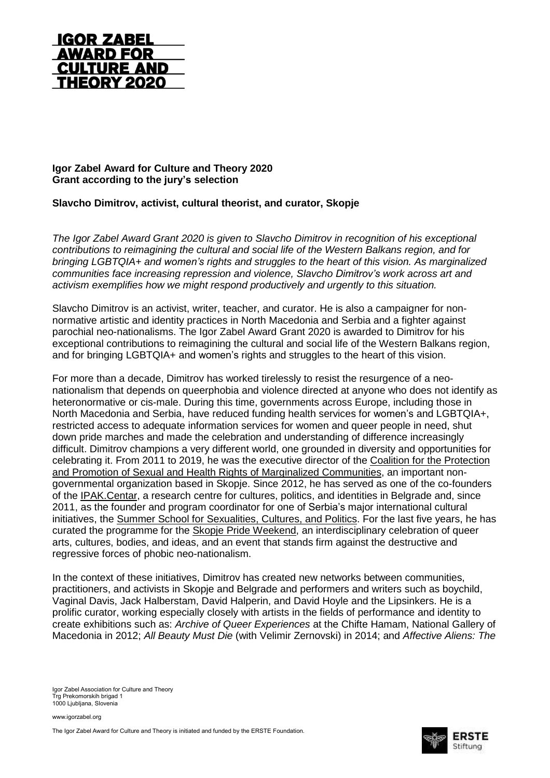

## **Igor Zabel Award for Culture and Theory 2020 Grant according to the jury's selection**

## **Slavcho Dimitrov, activist, cultural theorist, and curator, Skopje**

*The Igor Zabel Award Grant 2020 is given to Slavcho Dimitrov in recognition of his exceptional contributions to reimagining the cultural and social life of the Western Balkans region, and for bringing LGBTQIA+ and women's rights and struggles to the heart of this vision. As marginalized communities face increasing repression and violence, Slavcho Dimitrov's work across art and activism exemplifies how we might respond productively and urgently to this situation.*

Slavcho Dimitrov is an activist, writer, teacher, and curator. He is also a campaigner for nonnormative artistic and identity practices in North Macedonia and Serbia and a fighter against parochial neo-nationalisms. The Igor Zabel Award Grant 2020 is awarded to Dimitrov for his exceptional contributions to reimagining the cultural and social life of the Western Balkans region, and for bringing LGBTQIA+ and women's rights and struggles to the heart of this vision.

For more than a decade, Dimitrov has worked tirelessly to resist the resurgence of a neonationalism that depends on queerphobia and violence directed at anyone who does not identify as heteronormative or cis-male. During this time, governments across Europe, including those in North Macedonia and Serbia, have reduced funding health services for women's and LGBTQIA+, restricted access to adequate information services for women and queer people in need, shut down pride marches and made the celebration and understanding of difference increasingly difficult. Dimitrov champions a very different world, one grounded in diversity and opportunities for celebrating it. From 2011 to 2019, he was the executive director of the Coalition for the [Protection](http://coalition.org.mk/za-nas/?lang=en) and Promotion of Sexual and Health Rights of Marginalized [Communities,](http://coalition.org.mk/za-nas/?lang=en) an important nongovernmental organization based in Skopje. Since 2012, he has served as one of the co-founders of the [IPAK.Centar,](http://ipakcentar.org/) a research centre for cultures, politics, and identities in Belgrade and, since 2011, as the founder and program coordinator for one of Serbia's major international cultural initiatives, the Summer School for [Sexualities,](http://ipakcentar.org/summer-school) Cultures, and Politics. For the last five years, he has curated the programme for the Skopje Pride [Weekend,](https://transnational-queer-underground.net/skopje-pride-weekend/) an interdisciplinary celebration of queer arts, cultures, bodies, and ideas, and an event that stands firm against the destructive and regressive forces of phobic neo-nationalism.

In the context of these initiatives, Dimitrov has created new networks between communities, practitioners, and activists in Skopje and Belgrade and performers and writers such as boychild, Vaginal Davis, Jack Halberstam, David Halperin, and David Hoyle and the Lipsinkers. He is a prolific curator, working especially closely with artists in the fields of performance and identity to create exhibitions such as: *Archive of Queer Experiences* at the Chifte Hamam, National Gallery of Macedonia in 2012; *All Beauty Must Die* (with Velimir Zernovski) in 2014; and *Affective Aliens: The*

Igor Zabel Association for Culture and Theory Trg Prekomorskih brigad 1 1000 Ljubljana, Slovenia

www.igorzabel.org

The Igor Zabel Award for Culture and Theory is initiated and funded by the ERSTE Foundation.